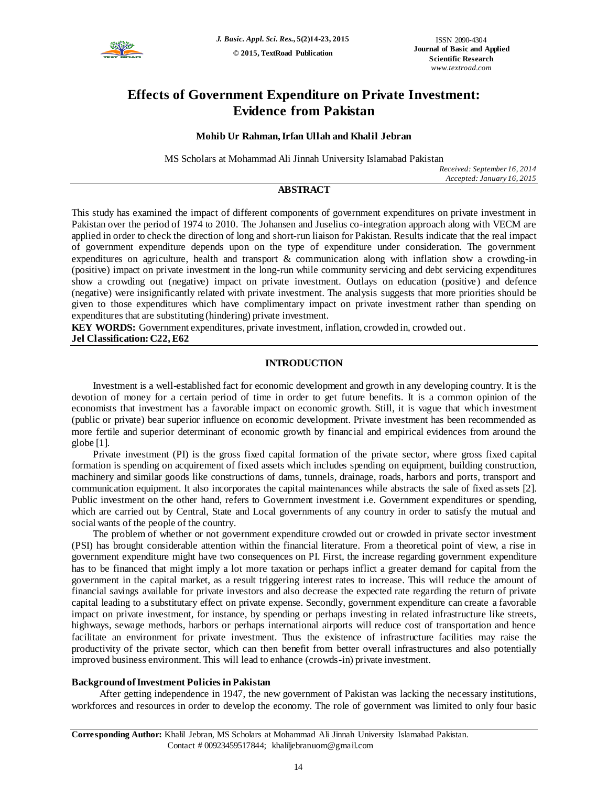

# **Effects of Government Expenditure on Private Investment: Evidence from Pakistan**

# **Mohib Ur Rahman,Irfan Ullah and Khalil Jebran**

MS Scholars at Mohammad Ali Jinnah University Islamabad Pakistan

*Received: September 16, 2014 Accepted: January 16, 2015*

# **ABSTRACT**

This study has examined the impact of different components of government expenditures on private investment in Pakistan over the period of 1974 to 2010. The Johansen and Juselius co-integration approach along with VECM are applied in order to check the direction of long and short-run liaison for Pakistan. Results indicate that the real impact of government expenditure depends upon on the type of expenditure under consideration. The government expenditures on agriculture, health and transport & communication along with inflation show a crowding-in (positive) impact on private investment in the long-run while community servicing and debt servicing expenditures show a crowding out (negative) impact on private investment. Outlays on education (positive ) and defence (negative) were insignificantly related with private investment. The analysis suggests that more priorities should be given to those expenditures which have complimentary impact on private investment rather than spending on expenditures that are substituting (hindering) private investment.

**KEY WORDS:** Government expenditures, private investment, inflation, crowded in, crowded out. **Jel Classification: C22, E62**

# **INTRODUCTION**

Investment is a well-established fact for economic development and growth in any developing country. It is the devotion of money for a certain period of time in order to get future benefits. It is a common opinion of the economists that investment has a favorable impact on economic growth. Still, it is vague that which investment (public or private) bear superior influence on economic development. Private investment has been recommended as more fertile and superior determinant of economic growth by financial and empirical evidences from around the globe [1].

Private investment (PI) is the gross fixed capital formation of the private sector, where gross fixed capital formation is spending on acquirement of fixed assets which includes spending on equipment, building construction, machinery and similar goods like constructions of dams, tunnels, drainage, roads, harbors and ports, transport and communication equipment. It also incorporates the capital maintenances while abstracts the sale of fixed assets [2]. Public investment on the other hand, refers to Government investment i.e. Government expenditures or spending, which are carried out by Central, State and Local governments of any country in order to satisfy the mutual and social wants of the people of the country.

The problem of whether or not government expenditure crowded out or crowded in private sector investment (PSI) has brought considerable attention within the financial literature. From a theoretical point of view, a rise in government expenditure might have two consequences on PI. First, the increase regarding government expenditure has to be financed that might imply a lot more taxation or perhaps inflict a greater demand for capital from the government in the capital market, as a result triggering interest rates to increase. This will reduce the amount of financial savings available for private investors and also decrease the expected rate regarding the return of private capital leading to a substitutary effect on private expense. Secondly, government expenditure can create a favorable impact on private investment, for instance, by spending or perhaps investing in related infrastructure like streets, highways, sewage methods, harbors or perhaps international airports will reduce cost of transportation and hence facilitate an environment for private investment. Thus the existence of infrastructure facilities may raise the productivity of the private sector, which can then benefit from better overall infrastructures and also potentially improved business environment. This will lead to enhance (crowds-in) private investment.

# **Background of Investment Policies in Pakistan**

After getting independence in 1947, the new government of Pakistan was lacking the necessary institutions, workforces and resources in order to develop the economy. The role of government was limited to only four basic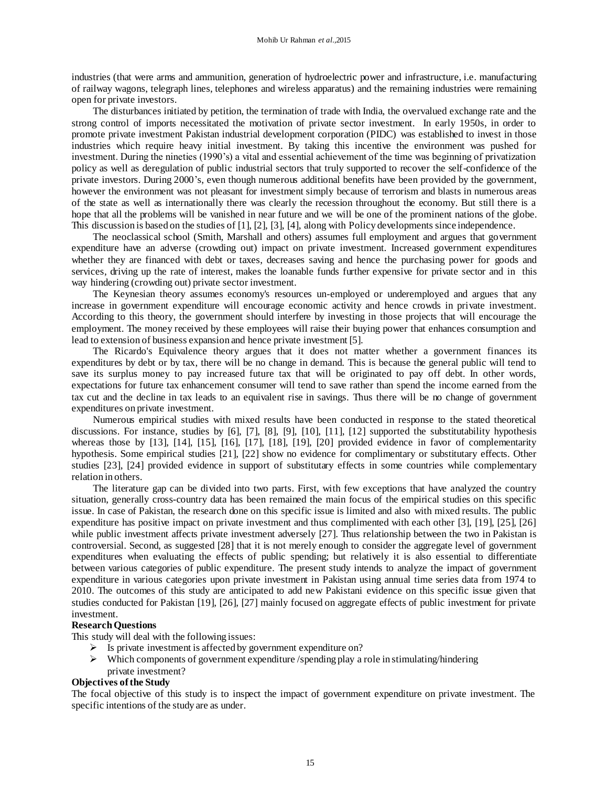industries (that were arms and ammunition, generation of hydroelectric power and infrastructure, i.e. manufacturing of railway wagons, telegraph lines, telephones and wireless apparatus) and the remaining industries were remaining open for private investors.

The disturbances initiated by petition, the termination of trade with India, the overvalued exchange rate and the strong control of imports necessitated the motivation of private sector investment. In early 1950s, in order to promote private investment Pakistan industrial development corporation (PIDC) was established to invest in those industries which require heavy initial investment. By taking this incentive the environment was pushed for investment. During the nineties (1990's) a vital and essential achievement of the time was beginning of privatization policy as well as deregulation of public industrial sectors that truly supported to recover the self-confidence of the private investors. During 2000's, even though numerous additional benefits have been provided by the government, however the environment was not pleasant for investment simply because of terrorism and blasts in numerous areas of the state as well as internationally there was clearly the recession throughout the economy. But still there is a hope that all the problems will be vanished in near future and we will be one of the prominent nations of the globe. This discussion is based on the studies of [1], [2], [3], [4], along with Policy developments since independence.

The neoclassical school (Smith, Marshall and others) assumes full employment and argues that government expenditure have an adverse (crowding out) impact on private investment. Increased government expenditures whether they are financed with debt or taxes, decreases saving and hence the purchasing power for [goods and](http://encyclopedia.thefreedictionary.com/Goods+and+services)  [services,](http://encyclopedia.thefreedictionary.com/Goods+and+services) driving up the rate of interest, makes the loanable funds further expensive for private sector and in this way hindering (crowding out) private sector investment.

The Keynesian theory assumes economy's resources un-employed or [underemployed](http://www.thefreedictionary.com/underemployed) and argues that any increase in government expenditure will encourage economic activity and hence crowds in private investment. According to this theory, the government should interfere by investing in those projects that will encourage the employment. The money received by these employees will raise their buying power that enhances consumption and lead to extension of business expansion and hence private investment [5].

The Ricardo's Equivalence theory argues that it does not matter whether a government finances its expenditures by debt or by tax, there will be no change in demand. This is because the general public will tend to save its surplus money to pay increased future tax that will be originated to pay off debt. In other words, expectations for future tax enhancement consumer will tend to save rather than spend the income earned from the tax cut and the decline in tax leads to an equivalent rise in savings. Thus there will be no change of government expenditures on private investment.

Numerous empirical studies with mixed results have been conducted in response to the stated theoretical discussions. For instance, studies by [6], [7], [8], [9], [10], [11], [12] supported the substitutability hypothesis whereas those by [13], [14], [15], [16], [17], [18], [19], [20] provided evidence in favor of complementarity hypothesis. Some empirical studies [21], [22] show no evidence for complimentary or substitutary effects. Other studies [23], [24] provided evidence in support of substitutary effects in some countries while complementary relation in others.

The literature gap can be divided into two parts. First, with few exceptions that have analyzed the country situation, generally cross-country data has been remained the main focus of the empirical studies on this specific issue. In case of Pakistan, the research done on this specific issue is limited and also with mixed results. The public expenditure has positive impact on private investment and thus complimented with each other [3], [19], [25], [26] while public investment affects private investment adversely [27]. Thus relationship between the two in Pakistan is controversial. Second, as suggested [28] that it is not merely enough to consider the aggregate level of government expenditures when evaluating the effects of public spending; but relatively it is also essential to differentiate between various categories of public expenditure. The present study intends to analyze the impact of government expenditure in various categories upon private investment in Pakistan using annual time series data from 1974 to 2010. The outcomes of this study are anticipated to add new Pakistani evidence on this specific issue given that studies conducted for Pakistan [19], [26], [27] mainly focused on aggregate effects of public investment for private investment.

#### **Research Questions**

This study will deal with the following issues:

- $\triangleright$  Is private investment is affected by government expenditure on?
- $\triangleright$  Which components of government expenditure /spending play a role in stimulating/hindering private investment?

## **Objectives of the Study**

The focal objective of this study is to inspect the impact of government expenditure on private investment. The specific intentions of the study are as under.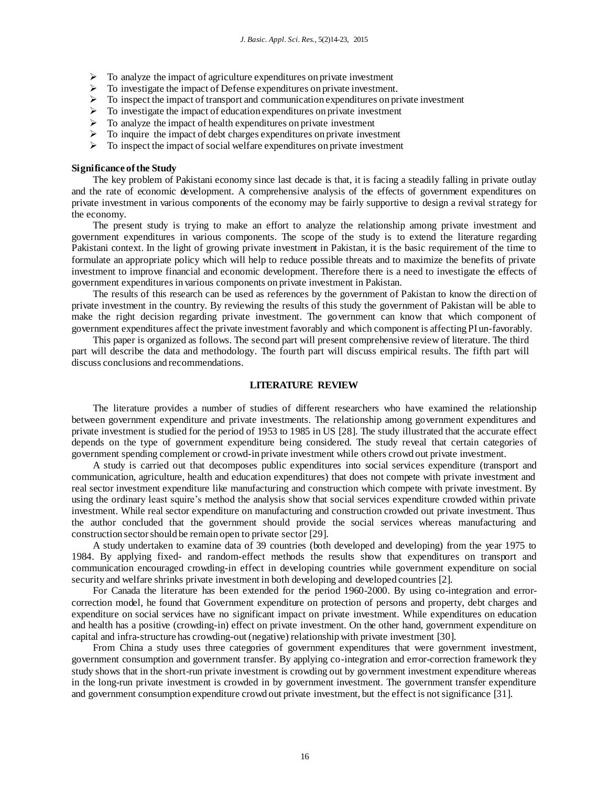- $\triangleright$  To analyze the impact of agriculture expenditures on private investment
- > To investigate the impact of Defense expenditures on private investment.
- $\triangleright$  To inspect the impact of transport and communication expenditures on private investment
- $\triangleright$  To investigate the impact of education expenditures on private investment
- $\triangleright$  To analyze the impact of health expenditures on private investment
- $\triangleright$  To inquire the impact of debt charges expenditures on private investment
- $\triangleright$  To inspect the impact of social welfare expenditures on private investment

## **Significance of the Study**

The key problem of Pakistani economy since last decade is that, it is facing a steadily falling in private outlay and the rate of economic development. A comprehensive analysis of the effects of government expenditures on private investment in various components of the economy may be fairly supportive to design a revival strategy for the economy.

The present study is trying to make an effort to analyze the relationship among private investment and government expenditures in various components. The scope of the study is to extend the literature regarding Pakistani context. In the light of growing private investment in Pakistan, it is the basic requirement of the time to formulate an appropriate policy which will help to reduce possible threats and to maximize the benefits of private investment to improve financial and economic development. Therefore there is a need to investigate the effects of government expenditures in various components on private investment in Pakistan.

The results of this research can be used as references by the government of Pakistan to know the direction of private investment in the country. By reviewing the results of this study the government of Pakistan will be able to make the right decision regarding private investment. The government can know that which component of government expenditures affect the private investment favorably and which component is affecting PI un-favorably.

This paper is organized as follows. The second part will present comprehensive review of literature. The third part will describe the data and methodology. The fourth part will discuss empirical results. The fifth part will discuss conclusions and recommendations.

#### **LITERATURE REVIEW**

The literature provides a number of studies of different researchers who have examined the relationship between government expenditure and private investments. The relationship among government expenditures and private investment is studied for the period of 1953 to 1985 in US [28]. The study illustrated that the accurate effect depends on the type of government expenditure being considered. The study reveal that certain categories of government spending complement or crowd-in private investment while others crowd out private investment.

A study is carried out that decomposes public expenditures into social services expenditure (transport and communication, agriculture, health and education expenditures) that does not compete with private investment and real sector investment expenditure like manufacturing and construction which compete with private investment. By using the ordinary least squire's method the analysis show that social services expenditure crowded within private investment. While real sector expenditure on manufacturing and construction crowded out private investment. Thus the author concluded that the government should provide the social services whereas manufacturing and construction sector should be remain open to private sector [29].

A study undertaken to examine data of 39 countries (both developed and developing) from the year 1975 to 1984. By applying fixed- and random-effect methods the results show that expenditures on transport and communication encouraged crowding-in effect in developing countries while government expenditure on social security and welfare shrinks private investment in both developing and developed countries [2].

For Canada the literature has been extended for the period 1960-2000. By using co-integration and errorcorrection model, he found that Government expenditure on protection of persons and property, debt charges and expenditure on social services have no significant impact on private investment. While expenditures on education and health has a positive (crowding-in) effect on private investment. On the other hand, government expenditure on capital and infra-structure has crowding-out (negative) relationship with private investment [30].

From China a study uses three categories of government expenditures that were government investment, government consumption and government transfer. By applying co-integration and error-correction framework they study shows that in the short-run private investment is crowding out by government investment expenditure whereas in the long-run private investment is crowded in by government investment. The government transfer expenditure and government consumption expenditure crowd out private investment, but the effect is not significance [31].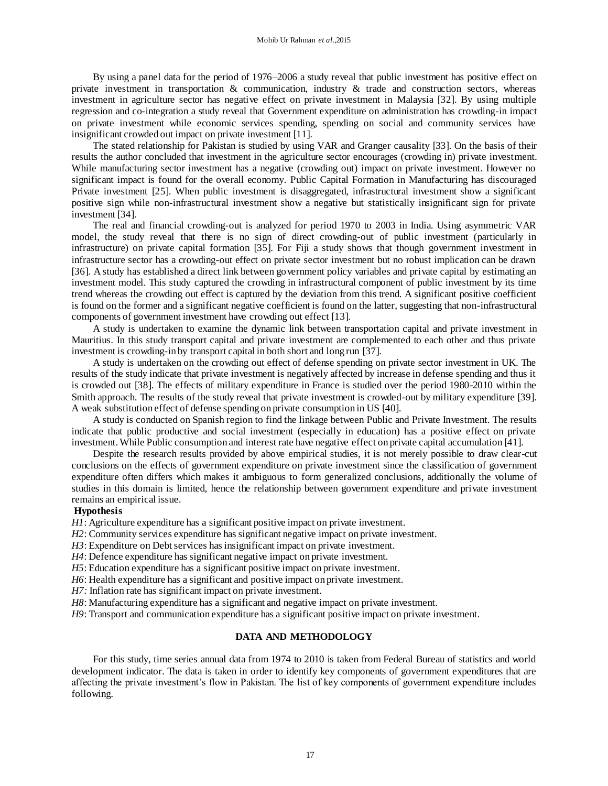By using a panel data for the period of 1976–2006 a study reveal that public investment has positive effect on private investment in transportation & communication, industry & trade and construction sectors, whereas investment in agriculture sector has negative effect on private investment in Malaysia [32]. By using multiple regression and co-integration a study reveal that Government expenditure on administration has crowding-in impact on private investment while economic services spending, spending on social and community services have insignificant crowded out impact on private investment [11].

The stated relationship for Pakistan is studied by using VAR and Granger causality [33]. On the basis of their results the author concluded that investment in the agriculture sector encourages (crowding in) private investment. While manufacturing sector investment has a negative (crowding out) impact on private investment. However no significant impact is found for the overall economy. Public Capital Formation in Manufacturing has discouraged Private investment [25]. When public investment is disaggregated, infrastructural investment show a significant positive sign while non-infrastructural investment show a negative but statistically insignificant sign for private investment [34].

The real and financial crowding-out is analyzed for period 1970 to 2003 in India. Using asymmetric VAR model, the study reveal that there is no sign of direct crowding-out of public investment (particularly in infrastructure) on private capital formation [35]. For Fiji a study shows that though government investment in infrastructure sector has a crowding-out effect on private sector investment but no robust implication can be drawn [36]. A study has established a direct link between government policy variables and private capital by estimating an investment model. This study captured the crowding in infrastructural component of public investment by its time trend whereas the crowding out effect is captured by the deviation from this trend. A significant positive coefficient is found on the former and a significant negative coefficient is found on the latter, suggesting that non-infrastructural components of government investment have crowding out effect [13].

A study is undertaken to examine the dynamic link between transportation capital and private investment in Mauritius. In this study transport capital and private investment are complemented to each other and thus private investment is crowding-in by transport capital in both short and long run [37].

A study is undertaken on the crowding out effect of defense spending on private sector investment in UK. The results of the study indicate that private investment is negatively affected by increase in defense spending and thus it is crowded out [38]. The effects of military expenditure in France is studied over the period 1980-2010 within the Smith approach. The results of the study reveal that private investment is crowded-out by military expenditure [39]. A weak substitution effect of defense spending on private consumption in US [40].

A study is conducted on Spanish region to find the linkage between Public and Private Investment. The results indicate that public productive and social investment (especially in education) has a positive effect on private investment. While Public consumption and interest rate have negative effect on private capital accumulation [41].

Despite the research results provided by above empirical studies, it is not merely possible to draw clear-cut conclusions on the effects of government expenditure on private investment since the classification of government expenditure often differs which makes it ambiguous to form generalized conclusions, additionally the volume of studies in this domain is limited, hence the relationship between government expenditure and private investment remains an empirical issue.

## **Hypothesis**

*H1*: Agriculture expenditure has a significant positive impact on private investment.

*H2*: Community services expenditure has significant negative impact on private investment.

*H3*: Expenditure on Debt services has insignificant impact on private investment.

*H4*: Defence expenditure has significant negative impact on private investment.

*H5*: Education expenditure has a significant positive impact on private investment.

*H6*: Health expenditure has a significant and positive impact on private investment.

*H7:* Inflation rate has significant impact on private investment.

*H8*: Manufacturing expenditure has a significant and negative impact on private investment.

*H9*: Transport and communication expenditure has a significant positive impact on private investment.

## **DATA AND METHODOLOGY**

For this study, time series annual data from 1974 to 2010 is taken from Federal Bureau of statistics and world development indicator. The data is taken in order to identify key components of government expenditures that are affecting the private investment's flow in Pakistan. The list of key components of government expenditure includes following.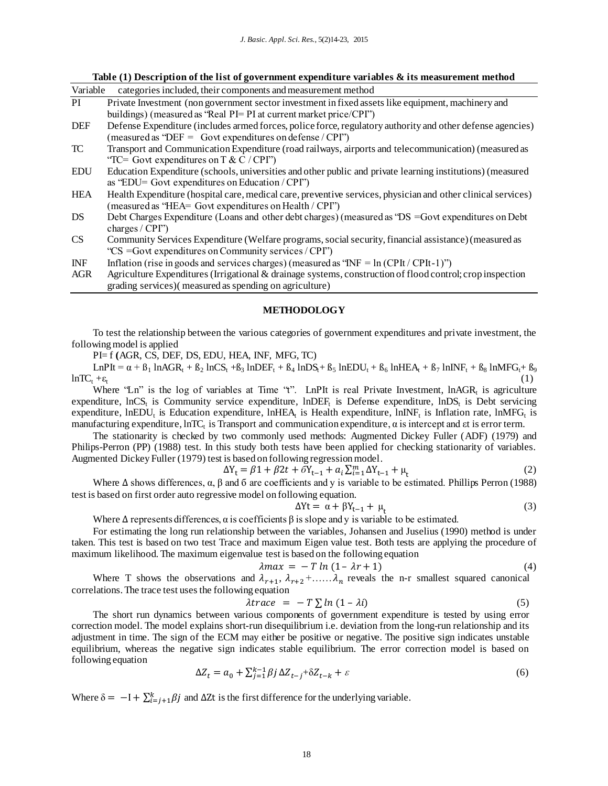#### **Table (1) Description of the list of government expenditure variables & its measurement method**

| Variable   | categories included, their components and measurement method                                                                                                             |
|------------|--------------------------------------------------------------------------------------------------------------------------------------------------------------------------|
| PI         | Private Investment (non government sector investment in fixed assets like equipment, machinery and                                                                       |
|            | buildings) (measured as "Real PI= PI at current market price/CPI")                                                                                                       |
| DEF        | Defense Expenditure (includes armed forces, police force, regulatory authority and other defense agencies)<br>(measured as 'DEF = $Govt$ expenditures on defense / CPI') |
| TC         | Transport and Communication Expenditure (road railways, airports and telecommunication) (measured as                                                                     |
|            | "TC= Govt expenditures on T & C / CPI")                                                                                                                                  |
| <b>EDU</b> | Education Expenditure (schools, universities and other public and private learning institutions) (measured<br>as "EDU= Govt expenditures on Education $/$ CPI")          |
| <b>HEA</b> | Health Expenditure (hospital care, medical care, preventive services, physician and other clinical services)<br>(measured as "HEA= Govt expenditures on Health / CPI")   |
| DS         | Debt Charges Expenditure (Loans and other debt charges) (measured as "DS = Govt expenditures on Debt<br>charges $/$ CPI")                                                |
| CS         | Community Services Expenditure (Welfare programs, social security, financial assistance) (measured as<br>"CS = Govt expenditures on Community services / CPI")           |
| <b>INF</b> | Inflation (rise in goods and services charges) (measured as " $INF = ln (CPIt / CPIt - 1)$ ")                                                                            |
| <b>AGR</b> | Agriculture Expenditures (Irrigational & drainage systems, construction of flood control; crop inspection<br>grading services) (measured as spending on agriculture)     |

#### **METHODOLOGY**

To test the relationship between the various categories of government expenditures and private investment, the following model is applied

PI= f **(**AGR, CS, DEF, DS, EDU, HEA, INF, MFG, TC)

 $LnP$ It =  $\alpha$  +  $\beta_1$  lnAGR<sub>t</sub> +  $\beta_2$  lnCS<sub>t</sub> +  $\beta_3$  lnDEF<sub>t</sub> +  $\beta_4$  lnDS<sub>t</sub>+  $\beta_5$  lnEDU<sub>t</sub> +  $\beta_6$  lnHEA<sub>t</sub> +  $\beta_7$  lnINF<sub>t</sub> +  $\beta_8$  lnMFG<sub>t</sub>+  $\beta_9$  $lnTC_t + \varepsilon_t$ (1)

Where "Ln" is the log of variables at Time "t". LnPIt is real Private Investment,  $In AGR_t$  is agriculture expenditure,  $lnCS_t$  is Community service expenditure,  $lnDEF_t$  is Defense expenditure,  $lnDS_t$  is Debt servicing expenditure, lnEDU<sub>t</sub> is Education expenditure, lnHEA<sub>t</sub> is Health expenditure, lnINF<sub>t</sub> is Inflation rate, lnMFG<sub>t</sub> is manufacturing expenditure,  $ln TC_t$  is Transport and communication expenditure,  $\alpha$  is intercept and  $\epsilon t$  is error term.

The stationarity is checked by two commonly used methods: Augmented Dickey Fuller (ADF) (1979) and Philips-Perron (PP) (1988) test. In this study both tests have been applied for checking stationarity of variables. Augmented Dickey Fuller (1979) test is based on following regression model.

$$
\Delta Y_{t} = \beta 1 + \beta 2t + \bar{\delta} Y_{t-1} + a_{i} \sum_{i=1}^{m} \Delta Y_{t-1} + \mu_{t}
$$
\n(2)

Where  $\Delta$  shows differences,  $\alpha$ ,  $\beta$  and  $\delta$  are coefficients and y is variable to be estimated. Phillips Perron (1988) test is based on first order auto regressive model on following equation.

$$
\Delta Yt = \alpha + \beta Y_{t-1} + \mu_t \tag{3}
$$

Where  $\Delta$  represents differences,  $\alpha$  is coefficients  $\beta$  is slope and y is variable to be estimated.

For estimating the long run relationship between the variables, Johansen and Juselius (1990) method is under taken. This test is based on two test Trace and maximum Eigen value test. Both tests are applying the procedure of maximum likelihood. The maximum eigenvalue test is based on the following equation

$$
\lambda max = -T \ln (1 - \lambda r + 1) \tag{4}
$$

Where T shows the observations and  $\lambda_{r+1}$ ,  $\lambda_{r+2}$ +......  $\lambda_n$  reveals the n-r smallest squared canonical correlations. The trace test uses the following equation

$$
\lambda trace = -T \sum ln (1 - \lambda i) \tag{5}
$$

The short run dynamics between various components of government expenditure is tested by using error correction model. The model explains short-run disequilibrium i.e. deviation from the long-run relationship and its adjustment in time. The sign of the ECM may either be positive or negative. The positive sign indicates unstable equilibrium, whereas the negative sign indicates stable equilibrium. The error correction model is based on following equation

$$
\Delta Z_t = a_0 + \sum_{j=1}^{k-1} \beta j \, \Delta Z_{t-j} + \delta Z_{t-k} + \varepsilon \tag{6}
$$

Where  $\delta = -I + \sum_{i=j+1}^{k} \beta j$  and  $\Delta Zt$  is the first difference for the underlying variable.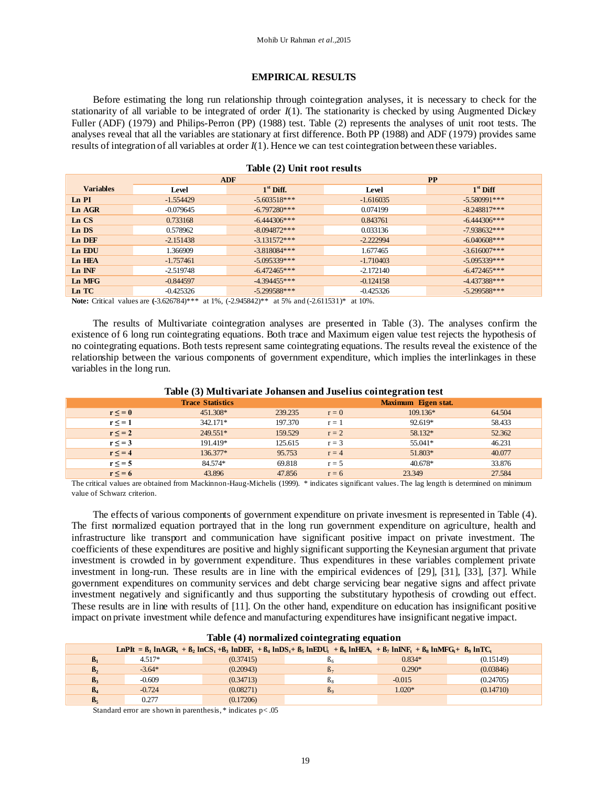# **EMPIRICAL RESULTS**

Before estimating the long run relationship through cointegration analyses, it is necessary to check for the stationarity of all variable to be integrated of order *I*(1). The stationarity is checked by using Augmented Dickey Fuller (ADF) (1979) and Philips-Perron (PP) (1988) test. Table (2) represents the analyses of unit root tests. The analyses reveal that all the variables are stationary at first difference. Both PP (1988) and ADF (1979) provides same results of integration of all variables at order *I*(1). Hence we can test cointegration between these variables.

| $\frac{1}{2}$    |             |                |             |                |  |  |
|------------------|-------------|----------------|-------------|----------------|--|--|
|                  |             | <b>ADF</b>     | PP          |                |  |  |
| <b>Variables</b> | Level       | $1st$ Diff.    | Level       | $1st$ Diff     |  |  |
| Ln PI            | $-1.554429$ | $-5.603518***$ | $-1.616035$ | $-5.580991***$ |  |  |
| Ln AGR           | $-0.079645$ | $-6.797280***$ | 0.074199    | $-8.248817***$ |  |  |
| Ln CS            | 0.733168    | $-6.444306***$ | 0.843761    | $-6.444306***$ |  |  |
| Ln DS            | 0.578962    | $-8.094872***$ | 0.033136    | $-7.938632***$ |  |  |
| Ln DEF           | $-2.151438$ | $-3.131572***$ | $-2.222994$ | $-6.040608***$ |  |  |
| Ln EDU           | 1.366909    | $-3.818084***$ | 1.677465    | $-3.616007***$ |  |  |
| Ln HEA           | $-1.757461$ | $-5.095339***$ | $-1.710403$ | $-5.095339***$ |  |  |
| Ln INF           | $-2.519748$ | $-6.472465***$ | $-2.172140$ | $-6.472465***$ |  |  |
| Ln MFG           | $-0.844597$ | $-4.394455***$ | $-0.124158$ | $-4.437388***$ |  |  |
| Ln TC            | $-0.425326$ | $-5.299588***$ | $-0.425326$ | $-5.299588***$ |  |  |

# **Table (2) Unit root results**

**Note:** Critical values are **(**-3.626784)\*\*\* at 1%, (-2.945842)\*\* at 5% and (-2.611531)\* at 10%.

The results of Multivariate cointegration analyses are presented in Table (3). The analyses confirm the existence of 6 long run cointegrating equations. Both trace and Maximum eigen value test rejects the hypothesis of no cointegrating equations. Both tests represent same cointegrating equations. The results reveal the existence of the relationship between the various components of government expenditure, which implies the interlinkages in these variables in the long run.

|              | <b>Trace Statistics</b> |         |         | Maximum Eigen stat. |        |
|--------------|-------------------------|---------|---------|---------------------|--------|
| $r \leq 0$   | 451.308*                | 239.235 | $r = 0$ | $109.136*$          | 64.504 |
| $r \leq -1$  | 342.171*                | 197.370 | $r = 1$ | 92.619*             | 58.433 |
| $r \leq 2$   | $249.551*$              | 159.529 | $r = 2$ | 58.132*             | 52.362 |
| $r \leq 3$   | 191.419*                | 125.615 | $r = 3$ | 55.041*             | 46.231 |
| $r \leq$ = 4 | 136.377*                | 95.753  | $r = 4$ | 51.803*             | 40.077 |
| $r \leq -5$  | 84.574*                 | 69.818  | $r = 5$ | $40.678*$           | 33.876 |
| $r \leq 6$   | 43.896                  | 47.856  | $r = 6$ | 23.349              | 27.584 |

# **Table (3) Multivariate Johansen and Juselius cointegration test**

The critical values are obtained from Mackinnon-Haug-Michelis (1999). \* indicates significant values. The lag length is determined on minimum value of Schwarz criterion.

The effects of various components of government expenditure on private invesment is represented in Table (4). The first normalized equation portrayed that in the long run government expenditure on agriculture, health and infrastructure like transport and communication have significant positive impact on private investment. The coefficients of these expenditures are positive and highly significant supporting the Keynesian argument that private investment is crowded in by government expenditure. Thus expenditures in these variables complement private investment in long-run. These results are in line with the empirical evidences of [29], [31], [33], [37]. While government expenditures on community services and debt charge servicing bear negative signs and affect private investment negatively and significantly and thus supporting the substitutary hypothesis of crowding out effect. These results are in line with results of [11]. On the other hand, expenditure on education has insignificant positive impact on private investment while defence and manufacturing expenditures have insignificant negative impact.

|                |          |           | LnPIt = $\beta_1$ lnAGR <sub>t</sub> + $\beta_2$ lnCS <sub>t</sub> + $\beta_3$ lnDE <sub>t</sub> + $\beta_4$ lnDS <sub>t</sub> + $\beta_5$ lnEDU <sub>t</sub> + $\beta_6$ lnHEA <sub>t</sub> + $\beta_7$ lnNF <sub>t</sub> + $\beta_8$ lnMFG <sub>t</sub> + $\beta_9$ lnTC <sub>t</sub> |          |           |
|----------------|----------|-----------|-----------------------------------------------------------------------------------------------------------------------------------------------------------------------------------------------------------------------------------------------------------------------------------------|----------|-----------|
| $\beta_1$      | $4.517*$ | (0.37415) | J۵                                                                                                                                                                                                                                                                                      | $0.834*$ | (0.15149) |
| B <sub>2</sub> | $-3.64*$ | (0.20943) | B <sub>7</sub>                                                                                                                                                                                                                                                                          | $0.290*$ | (0.03846) |
| $\beta_3$      | $-0.609$ | (0.34713) | ĸ۰                                                                                                                                                                                                                                                                                      | $-0.015$ | (0.24705) |
| $\mathbf{B}_4$ | $-0.724$ | (0.08271) | $\beta$ <sup>o</sup>                                                                                                                                                                                                                                                                    | $1.020*$ | (0.14710) |
| B <sub>5</sub> | 0.277    | (0.17206) |                                                                                                                                                                                                                                                                                         |          |           |

# **Table (4) normalized cointegrating equation**

Standard error are shown in parenthesis, \* indicates p< .05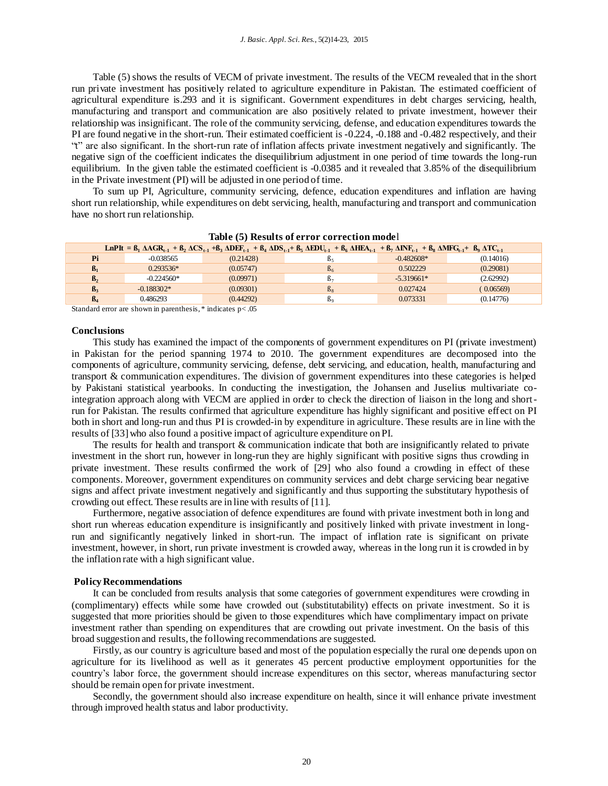Table (5) shows the results of VECM of private investment. The results of the VECM revealed that in the short run private investment has positively related to agriculture expenditure in Pakistan. The estimated coefficient of agricultural expenditure is.293 and it is significant. Government expenditures in debt charges servicing, health, manufacturing and transport and communication are also positively related to private investment, however their relationship was insignificant. The role of the community servicing, defense, and education expenditures towards the PI are found negative in the short-run. Their estimated coefficient is -0.224, -0.188 and -0.482 respectively, and their "t" are also significant. In the short-run rate of inflation affects private investment negatively and significantly. The negative sign of the coefficient indicates the disequilibrium adjustment in one period of time towards the long-run equilibrium. In the given table the estimated coefficient is -0.0385 and it revealed that 3.85% of the disequilibrium in the Private investment (PI) will be adjusted in one period of time.

To sum up PI, Agriculture, community servicing, defence, education expenditures and inflation are having short run relationship, while expenditures on debt servicing, health, manufacturing and transport and communication have no short run relationship.

| LnPIt = $B_1$ $\triangle AGR_{t-1} + B_2 \triangle CSt_{t-1} + B_3 \triangle DEF_{t-1} + B_4 \triangle DS_{t-1} + B_5 \triangle EDU_{t-1} + B_6 \triangle HEA_{t-1} + B_7 \triangle INF_{t-1} + B_8 \triangle MFG_{t-1} + B_9 \triangle TCE_{t-1}$ |              |           |                |              |           |  |
|----------------------------------------------------------------------------------------------------------------------------------------------------------------------------------------------------------------------------------------------------|--------------|-----------|----------------|--------------|-----------|--|
| Pi                                                                                                                                                                                                                                                 | $-0.038565$  | (0.21428) | Þ٤             | $-0.482608*$ | (0.14016) |  |
| $\beta_1$                                                                                                                                                                                                                                          | $0.293536*$  | (0.05747) | $B_6$          | 0.502229     | (0.29081) |  |
| $\mathbf{B}_2$                                                                                                                                                                                                                                     | $-0.224560*$ | (0.09971) | B۶             | $-5.319661*$ | (2.62992) |  |
| $\beta_3$                                                                                                                                                                                                                                          | $-0.188302*$ | (0.09301) | $\beta_8$      | 0.027424     | (0.06569) |  |
| $\beta_4$                                                                                                                                                                                                                                          | 0.486293     | (0.44292) | B <sub>o</sub> | 0.073331     | (0.14776) |  |
|                                                                                                                                                                                                                                                    |              |           |                |              |           |  |

# **Table (5) Results of error correction mode**l

Standard error are shown in parenthesis, \* indicates p< .05

#### **Conclusions**

This study has examined the impact of the components of government expenditures on PI (private investment) in Pakistan for the period spanning 1974 to 2010. The government expenditures are decomposed into the components of agriculture, community servicing, defense, debt servicing, and education, health, manufacturing and transport & communication expenditures. The division of government expenditures into these categories is helped by Pakistani statistical yearbooks. In conducting the investigation, the Johansen and Juselius multivariate cointegration approach along with VECM are applied in order to check the direction of liaison in the long and shortrun for Pakistan. The results confirmed that agriculture expenditure has highly significant and positive effect on PI both in short and long-run and thus PI is crowded-in by expenditure in agriculture. These results are in line with the results of [33] who also found a positive impact of agriculture expenditure on PI.

The results for health and transport & communication indicate that both are insignificantly related to private investment in the short run, however in long-run they are highly significant with positive signs thus crowding in private investment. These results confirmed the work of [29] who also found a crowding in effect of these components. Moreover, government expenditures on community services and debt charge servicing bear negative signs and affect private investment negatively and significantly and thus supporting the substitutary hypothesis of crowding out effect. These results are in line with results of [11].

Furthermore, negative association of defence expenditures are found with private investment both in long and short run whereas education expenditure is insignificantly and positively linked with private investment in longrun and significantly negatively linked in short-run. The impact of inflation rate is significant on private investment, however, in short, run private investment is crowded away, whereas in the long run it is crowded in by the inflation rate with a high significant value.

#### **Policy Recommendations**

It can be concluded from results analysis that some categories of government expenditures were crowding in (complimentary) effects while some have crowded out (substitutability) effects on private investment. So it is suggested that more priorities should be given to those expenditures which have complimentary impact on private investment rather than spending on expenditures that are crowding out private investment. On the basis of this broad suggestion and results, the following recommendations are suggested.

Firstly, as our country is agriculture based and most of the population especially the rural one depends upon on agriculture for its livelihood as well as it generates 45 percent productive employment opportunities for the country's labor force, the government should increase expenditures on this sector, whereas manufacturing sector should be remain open for private investment.

Secondly, the government should also increase expenditure on health, since it will enhance private investment through improved health status and labor productivity.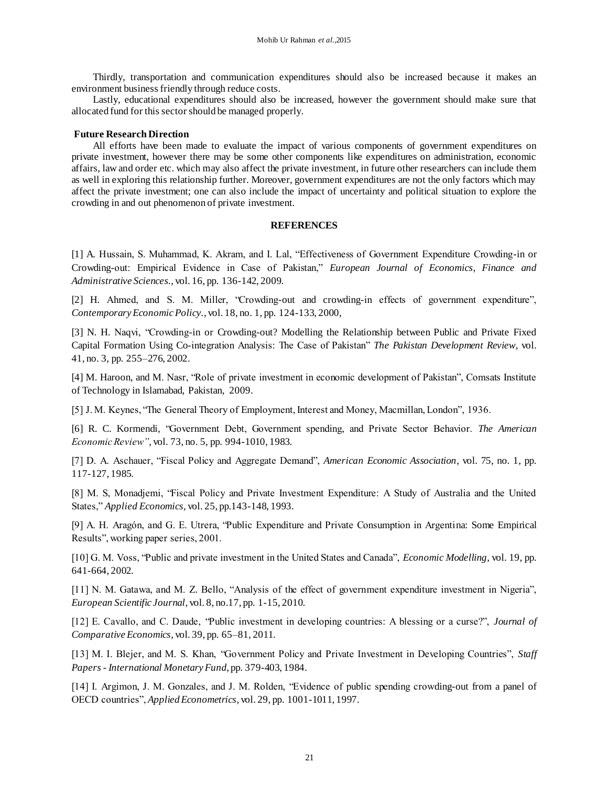Thirdly, transportation and communication expenditures should also be increased because it makes an environment business friendly through reduce costs.

Lastly, educational expenditures should also be increased, however the government should make sure that allocated fund for this sector should be managed properly.

#### **Future Research Direction**

All efforts have been made to evaluate the impact of various components of government expenditures on private investment, however there may be some other components like expenditures on administration, economic affairs, law and order etc. which may also affect the private investment, in future other researchers can include them as well in exploring this relationship further. Moreover, government expenditures are not the only factors which may affect the private investment; one can also include the impact of uncertainty and political situation to explore the crowding in and out phenomenon of private investment.

#### **REFERENCES**

[1] A. Hussain, S. Muhammad, K. Akram, and I. Lal, "Effectiveness of Government Expenditure Crowding-in or Crowding-out: Empirical Evidence in Case of Pakistan," *European Journal of Economics, Finance and Administrative Sciences.*, vol. 16, pp. 136-142, 2009.

[2] H. Ahmed, and S. M. Miller, "Crowding-out and crowding-in effects of government expenditure", *Contemporary Economic Policy.*, vol. 18, no. 1, pp. 124-133, 2000,

[3] N. H. Naqvi, "Crowding-in or Crowding-out? Modelling the Relationship between Public and Private Fixed Capital Formation Using Co-integration Analysis: The Case of Pakistan" *The Pakistan Development Review*, vol. 41, no. 3, pp. 255–276, 2002.

[4] M. Haroon, and M. Nasr, "Role of private investment in economic development of Pakistan", Comsats Institute of Technology in Islamabad, Pakistan, 2009.

[5] J. M. Keynes, "The General Theory of Employment, Interest and Money, Macmillan, London", 1936.

[6] R. C. Kormendi, "Government Debt, Government spending, and Private Sector Behavior. *The American Economic Review"*, vol. 73, no. 5, pp. 994-1010, 1983.

[7] D. A. Aschauer, "Fiscal Policy and Aggregate Demand", *American Economic Association*, vol. 75, no. 1, pp. 117-127, 1985.

[8] M. S, Monadjemi, "Fiscal Policy and Private Investment Expenditure: A Study of Australia and the United States," *Applied Economics,* vol. 25, pp.143-148, 1993.

[9] A. H. Aragón, and G. E. Utrera, "Public Expenditure and Private Consumption in Argentina: Some Empirical Results", working paper series, 2001.

[10] G. M. Voss, "Public and private investment in the United States and Canada", *Economic Modelling*, vol. 19, pp. 641-664, 2002.

[11] N. M. Gatawa, and M. Z. Bello, "Analysis of the effect of government expenditure investment in Nigeria", *European Scientific Journal*, vol. 8, no.17, pp. 1-15, 2010.

[12] E. Cavallo, and C. Daude, "Public investment in developing countries: A blessing or a curse?", *Journal of Comparative Economics*, vol. 39, pp. 65–81, 2011.

[13] M. I. Blejer, and M. S. Khan, "Government Policy and Private Investment in Developing Countries", *Staff Papers - International Monetary Fund*, pp. 379-403, 1984.

[14] I. Argimon, J. M. Gonzales, and J. M. Rolden, "Evidence of public spending crowding-out from a panel of OECD countries", *Applied Econometrics*, vol. 29, pp. 1001-1011, 1997.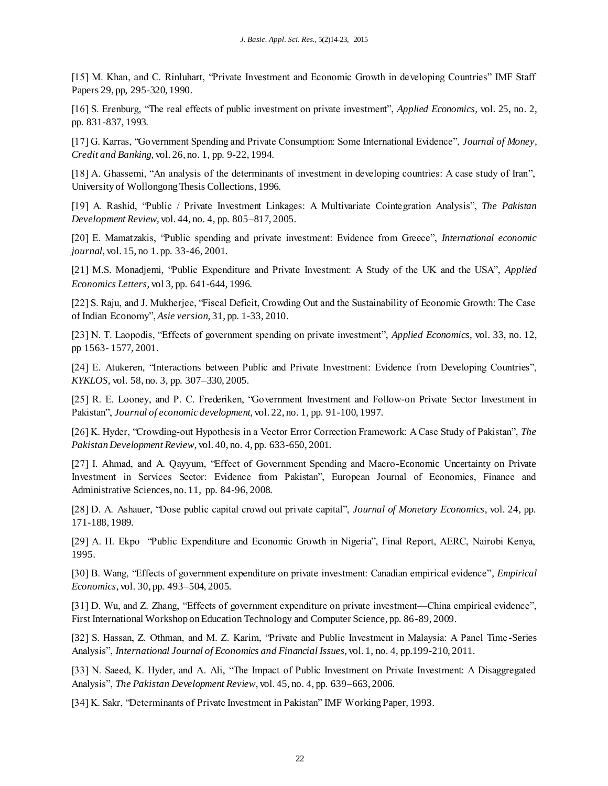[15] M. Khan, and C. Rinluhart, "Private Investment and Economic Growth in developing Countries" IMF Staff Papers 29, pp, 295-320, 1990.

[16] S. Erenburg, "The real effects of public investment on private investment", *Applied Economics,* vol. 25, no. 2, pp. 831-837, 1993.

[17] G. Karras, "Government Spending and Private Consumption: Some International Evidence", *Journal of Money, Credit and Banking,* vol. 26, no. 1, pp. 9-22, 1994.

[18] A. Ghassemi, "An analysis of the determinants of investment in developing countries: A case study of Iran", University of Wollongong Thesis Collections, 1996.

[19] A. Rashid, "Public / Private Investment Linkages: A Multivariate Cointegration Analysis", *The Pakistan Development Review*, vol. 44, no. 4, pp. 805–817, 2005.

[20] E. Mamatzakis, "Public spending and private investment: Evidence from Greece", *International economic journal*, vol. 15, no 1. pp. 33-46, 2001.

[21] M.S. Monadjemi, "Public Expenditure and Private Investment: A Study of the UK and the USA", *Applied Economics Letters,* vol 3, pp. 641-644, 1996.

[22] S. Raju, and J. Mukherjee, "Fiscal Deficit, Crowding Out and the Sustainability of Economic Growth: The Case of Indian Economy", *Asie version,* 31, pp. 1-33, 2010.

[23] N. T. Laopodis, "Effects of government spending on private investment", *Applied Economics,* vol. 33, no. 12, pp 1563- 1577, 2001.

[24] E. Atukeren, "Interactions between Public and Private Investment: Evidence from Developing Countries", *KYKLOS*, vol. 58, no. 3, pp. 307–330, 2005.

[25] R. E. Looney, and P. C. Frederiken, "Government Investment and Follow-on Private Sector Investment in Pakistan", *Journal of economic development*, vol. 22, no. 1, pp. 91-100, 1997.

[26] K. Hyder, "Crowding-out Hypothesis in a Vector Error Correction Framework: A Case Study of Pakistan", *The Pakistan Development Review*, vol. 40, no. 4, pp. 633-650, 2001.

[27] I. Ahmad, and A. Qayyum, "Effect of Government Spending and Macro-Economic Uncertainty on Private Investment in Services Sector: Evidence from Pakistan", European Journal of Economics, Finance and Administrative Sciences, no. 11, pp. 84-96, 2008.

[28] D. A. Ashauer, "Dose public capital crowd out private capital", *Journal of Monetary Economics*, vol. 24, pp. 171-188, 1989.

[29] A. H. Ekpo "Public Expenditure and Economic Growth in Nigeria", Final Report, AERC, Nairobi Kenya, 1995.

[30] B. Wang, "Effects of government expenditure on private investment: Canadian empirical evidence", *Empirical Economics*, vol. 30, pp. 493–504, 2005.

[31] D. Wu, and Z. Zhang, "Effects of government expenditure on private investment—China empirical evidence", First International Workshop on Education Technology and Computer Science, pp. 86-89, 2009.

[32] S. Hassan, Z. Othman, and M. Z. Karim, "Private and Public Investment in Malaysia: A Panel Time -Series Analysis", *International Journal of Economics and Financial Issues*, vol. 1, no. 4, pp.199-210, 2011.

[33] N. Saeed, K. Hyder, and A. Ali, "The Impact of Public Investment on Private Investment: A Disaggregated Analysis", *The Pakistan Development Review*, vol. 45, no. 4, pp. 639–663, 2006.

[34] K. Sakr, "Determinants of Private Investment in Pakistan" IMF Working Paper, 1993.